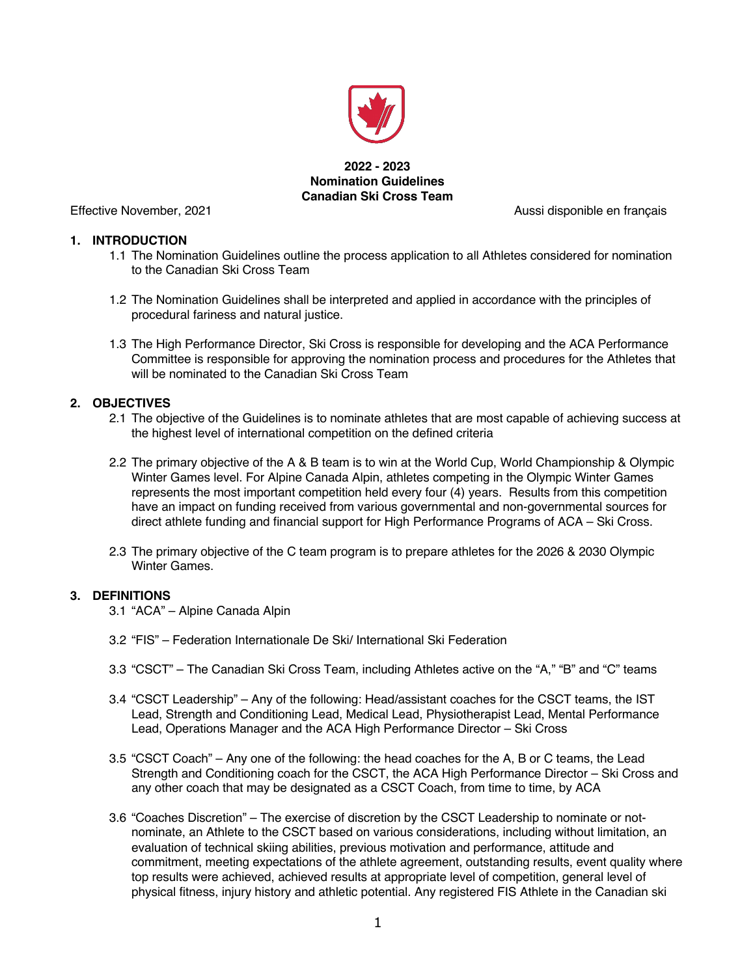

**2022 - 2023 Nomination Guidelines Canadian Ski Cross Team**

Effective November, 2021 **Aussi disponible en français** Aussi disponible en français

#### **1. INTRODUCTION**

- 1.1 The Nomination Guidelines outline the process application to all Athletes considered for nomination to the Canadian Ski Cross Team
- 1.2 The Nomination Guidelines shall be interpreted and applied in accordance with the principles of procedural fariness and natural justice.
- 1.3 The High Performance Director, Ski Cross is responsible for developing and the ACA Performance Committee is responsible for approving the nomination process and procedures for the Athletes that will be nominated to the Canadian Ski Cross Team

## **2. OBJECTIVES**

- 2.1 The objective of the Guidelines is to nominate athletes that are most capable of achieving success at the highest level of international competition on the defined criteria
- 2.2 The primary objective of the A & B team is to win at the World Cup, World Championship & Olympic Winter Games level. For Alpine Canada Alpin, athletes competing in the Olympic Winter Games represents the most important competition held every four (4) years. Results from this competition have an impact on funding received from various governmental and non-governmental sources for direct athlete funding and financial support for High Performance Programs of ACA – Ski Cross.
- 2.3 The primary objective of the C team program is to prepare athletes for the 2026 & 2030 Olympic Winter Games.

## **3. DEFINITIONS**

- 3.1 "ACA" Alpine Canada Alpin
- 3.2 "FIS" Federation Internationale De Ski/ International Ski Federation
- 3.3 "CSCT" The Canadian Ski Cross Team, including Athletes active on the "A," "B" and "C" teams
- 3.4 "CSCT Leadership" Any of the following: Head/assistant coaches for the CSCT teams, the IST Lead, Strength and Conditioning Lead, Medical Lead, Physiotherapist Lead, Mental Performance Lead, Operations Manager and the ACA High Performance Director – Ski Cross
- 3.5 "CSCT Coach" Any one of the following: the head coaches for the A, B or C teams, the Lead Strength and Conditioning coach for the CSCT, the ACA High Performance Director – Ski Cross and any other coach that may be designated as a CSCT Coach, from time to time, by ACA
- 3.6 "Coaches Discretion" The exercise of discretion by the CSCT Leadership to nominate or notnominate, an Athlete to the CSCT based on various considerations, including without limitation, an evaluation of technical skiing abilities, previous motivation and performance, attitude and commitment, meeting expectations of the athlete agreement, outstanding results, event quality where top results were achieved, achieved results at appropriate level of competition, general level of physical fitness, injury history and athletic potential. Any registered FIS Athlete in the Canadian ski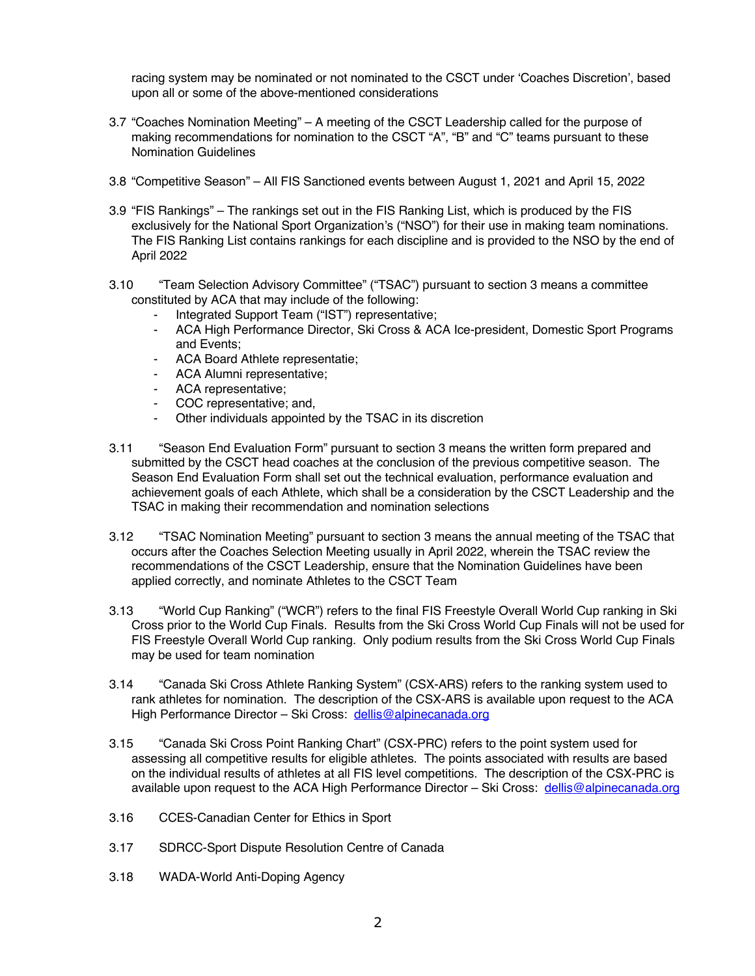racing system may be nominated or not nominated to the CSCT under 'Coaches Discretion', based upon all or some of the above-mentioned considerations

- 3.7 "Coaches Nomination Meeting" A meeting of the CSCT Leadership called for the purpose of making recommendations for nomination to the CSCT "A", "B" and "C" teams pursuant to these Nomination Guidelines
- 3.8 "Competitive Season" All FIS Sanctioned events between August 1, 2021 and April 15, 2022
- 3.9 "FIS Rankings" The rankings set out in the FIS Ranking List, which is produced by the FIS exclusively for the National Sport Organization's ("NSO") for their use in making team nominations. The FIS Ranking List contains rankings for each discipline and is provided to the NSO by the end of April 2022
- 3.10 "Team Selection Advisory Committee" ("TSAC") pursuant to section 3 means a committee constituted by ACA that may include of the following:
	- Integrated Support Team ("IST") representative;
	- ACA High Performance Director, Ski Cross & ACA Ice-president, Domestic Sport Programs and Events;
	- ACA Board Athlete representatie;
	- ACA Alumni representative;
	- ACA representative;
	- COC representative; and,
	- Other individuals appointed by the TSAC in its discretion
- 3.11 "Season End Evaluation Form" pursuant to section 3 means the written form prepared and submitted by the CSCT head coaches at the conclusion of the previous competitive season. The Season End Evaluation Form shall set out the technical evaluation, performance evaluation and achievement goals of each Athlete, which shall be a consideration by the CSCT Leadership and the TSAC in making their recommendation and nomination selections
- 3.12 "TSAC Nomination Meeting" pursuant to section 3 means the annual meeting of the TSAC that occurs after the Coaches Selection Meeting usually in April 2022, wherein the TSAC review the recommendations of the CSCT Leadership, ensure that the Nomination Guidelines have been applied correctly, and nominate Athletes to the CSCT Team
- 3.13 "World Cup Ranking" ("WCR") refers to the final FIS Freestyle Overall World Cup ranking in Ski Cross prior to the World Cup Finals. Results from the Ski Cross World Cup Finals will not be used for FIS Freestyle Overall World Cup ranking. Only podium results from the Ski Cross World Cup Finals may be used for team nomination
- 3.14 "Canada Ski Cross Athlete Ranking System" (CSX-ARS) refers to the ranking system used to rank athletes for nomination. The description of the CSX-ARS is available upon request to the ACA High Performance Director – Ski Cross: dellis@alpinecanada.org
- 3.15 "Canada Ski Cross Point Ranking Chart" (CSX-PRC) refers to the point system used for assessing all competitive results for eligible athletes. The points associated with results are based on the individual results of athletes at all FIS level competitions. The description of the CSX-PRC is available upon request to the ACA High Performance Director – Ski Cross: dellis@alpinecanada.org
- 3.16 CCES-Canadian Center for Ethics in Sport
- 3.17 SDRCC-Sport Dispute Resolution Centre of Canada
- 3.18 WADA-World Anti-Doping Agency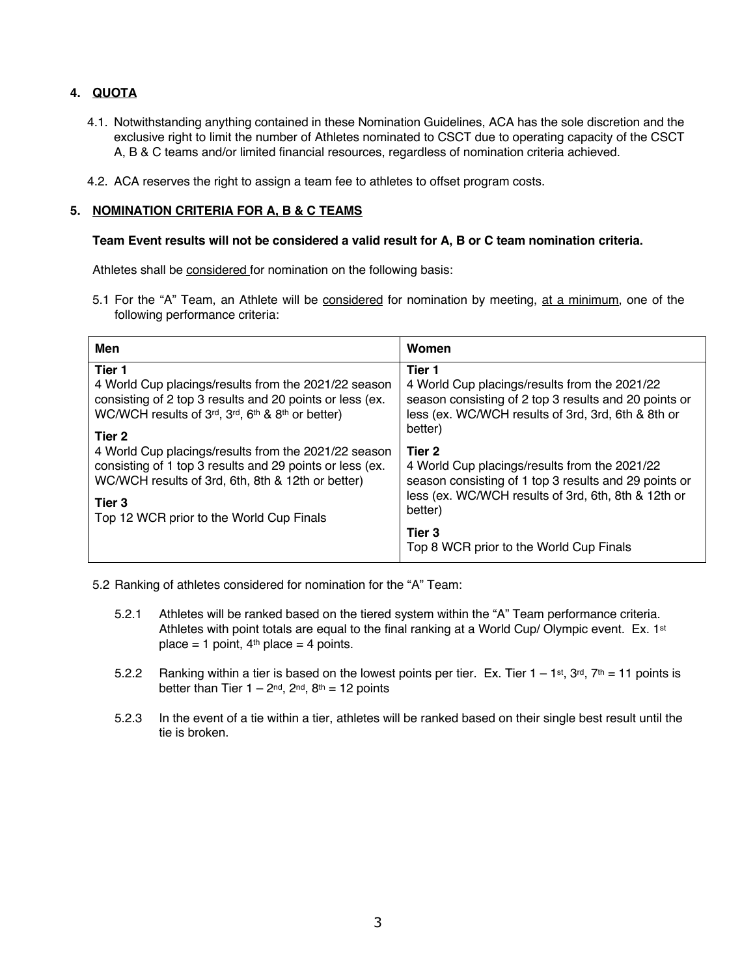# **4. QUOTA**

- 4.1. Notwithstanding anything contained in these Nomination Guidelines, ACA has the sole discretion and the exclusive right to limit the number of Athletes nominated to CSCT due to operating capacity of the CSCT A, B & C teams and/or limited financial resources, regardless of nomination criteria achieved.
- 4.2. ACA reserves the right to assign a team fee to athletes to offset program costs.

## **5. NOMINATION CRITERIA FOR A, B & C TEAMS**

#### **Team Event results will not be considered a valid result for A, B or C team nomination criteria.**

Athletes shall be considered for nomination on the following basis:

5.1 For the "A" Team, an Athlete will be considered for nomination by meeting, at a minimum, one of the following performance criteria:

| Men                                                      | Women                                                 |
|----------------------------------------------------------|-------------------------------------------------------|
| Tier 1                                                   | Tier 1                                                |
| 4 World Cup placings/results from the 2021/22 season     | 4 World Cup placings/results from the 2021/22         |
| consisting of 2 top 3 results and 20 points or less (ex. | season consisting of 2 top 3 results and 20 points or |
| WC/WCH results of 3rd, 3rd, 6th & 8th or better)         | less (ex. WC/WCH results of 3rd, 3rd, 6th & 8th or    |
| Tier 2                                                   | better)                                               |
| 4 World Cup placings/results from the 2021/22 season     | Tier 2                                                |
| consisting of 1 top 3 results and 29 points or less (ex. | 4 World Cup placings/results from the 2021/22         |
| WC/WCH results of 3rd, 6th, 8th & 12th or better)        | season consisting of 1 top 3 results and 29 points or |
| Tier 3                                                   | less (ex. WC/WCH results of 3rd, 6th, 8th & 12th or   |
| Top 12 WCR prior to the World Cup Finals                 | better)                                               |
|                                                          | Tier 3<br>Top 8 WCR prior to the World Cup Finals     |

5.2 Ranking of athletes considered for nomination for the "A" Team:

- 5.2.1 Athletes will be ranked based on the tiered system within the "A" Team performance criteria. Athletes with point totals are equal to the final ranking at a World Cup/ Olympic event. Ex. 1st place = 1 point,  $4<sup>th</sup>$  place = 4 points.
- 5.2.2 Ranking within a tier is based on the lowest points per tier. Ex. Tier  $1 1$ st,  $3^{rd}$ ,  $7^{th} = 11$  points is better than Tier  $1 - 2^{nd}$ ,  $2^{nd}$ ,  $8^{th} = 12$  points
- 5.2.3 In the event of a tie within a tier, athletes will be ranked based on their single best result until the tie is broken.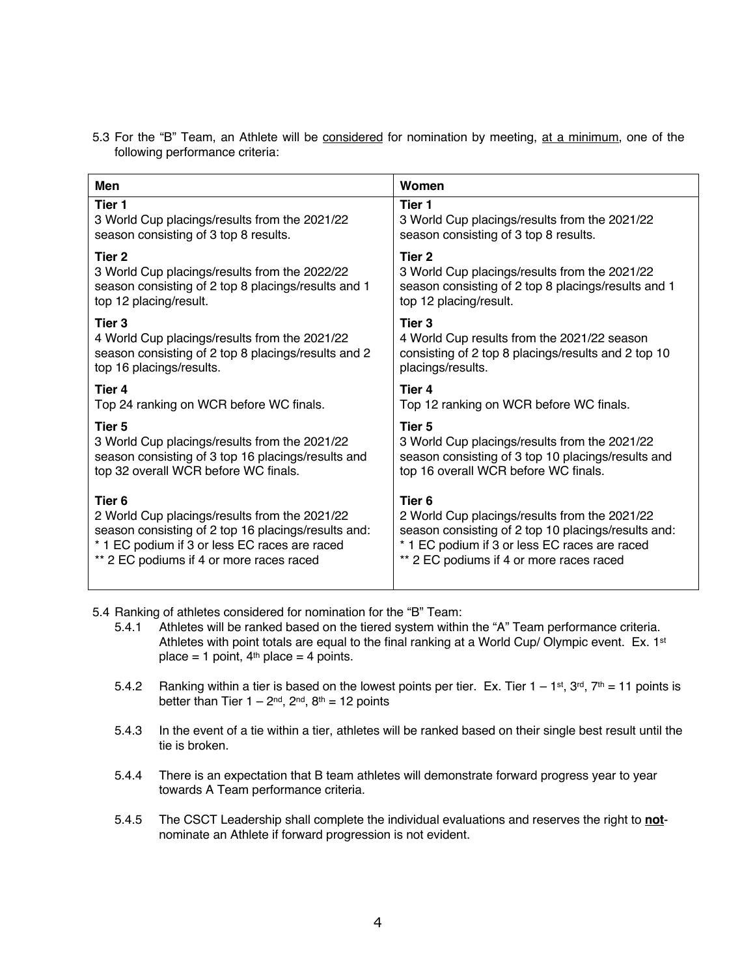| <b>Men</b>                                          | Women                                               |
|-----------------------------------------------------|-----------------------------------------------------|
| Tier 1                                              | Tier 1                                              |
| 3 World Cup placings/results from the 2021/22       | 3 World Cup placings/results from the 2021/22       |
| season consisting of 3 top 8 results.               | season consisting of 3 top 8 results.               |
| Tier 2                                              | Tier 2                                              |
| 3 World Cup placings/results from the 2022/22       | 3 World Cup placings/results from the 2021/22       |
| season consisting of 2 top 8 placings/results and 1 | season consisting of 2 top 8 placings/results and 1 |
| top 12 placing/result.                              | top 12 placing/result.                              |
| Tier 3                                              | Tier 3                                              |
| 4 World Cup placings/results from the 2021/22       | 4 World Cup results from the 2021/22 season         |
| season consisting of 2 top 8 placings/results and 2 | consisting of 2 top 8 placings/results and 2 top 10 |
| top 16 placings/results.                            | placings/results.                                   |
| Tier 4                                              | Tier 4                                              |
| Top 24 ranking on WCR before WC finals.             | Top 12 ranking on WCR before WC finals.             |
| Tier 5                                              | Tier <sub>5</sub>                                   |
| 3 World Cup placings/results from the 2021/22       | 3 World Cup placings/results from the 2021/22       |
| season consisting of 3 top 16 placings/results and  | season consisting of 3 top 10 placings/results and  |
| top 32 overall WCR before WC finals.                | top 16 overall WCR before WC finals.                |
| Tier <sub>6</sub>                                   | Tier <sub>6</sub>                                   |
| 2 World Cup placings/results from the 2021/22       | 2 World Cup placings/results from the 2021/22       |
| season consisting of 2 top 16 placings/results and: | season consisting of 2 top 10 placings/results and: |
| * 1 EC podium if 3 or less EC races are raced       | * 1 EC podium if 3 or less EC races are raced       |
| ** 2 EC podiums if 4 or more races raced            | ** 2 EC podiums if 4 or more races raced            |

5.3 For the "B" Team, an Athlete will be considered for nomination by meeting, at a minimum, one of the following performance criteria:

5.4 Ranking of athletes considered for nomination for the "B" Team:

- 5.4.1 Athletes will be ranked based on the tiered system within the "A" Team performance criteria. Athletes with point totals are equal to the final ranking at a World Cup/ Olympic event. Ex. 1st place = 1 point,  $4<sup>th</sup>$  place = 4 points.
- 5.4.2 Ranking within a tier is based on the lowest points per tier. Ex. Tier  $1 1$ st,  $3^{rd}$ ,  $7^{th} = 11$  points is better than Tier  $1 - 2<sup>nd</sup>$ ,  $2<sup>nd</sup>$ ,  $8<sup>th</sup> = 12$  points
- 5.4.3 In the event of a tie within a tier, athletes will be ranked based on their single best result until the tie is broken.
- 5.4.4 There is an expectation that B team athletes will demonstrate forward progress year to year towards A Team performance criteria.
- 5.4.5 The CSCT Leadership shall complete the individual evaluations and reserves the right to **not**nominate an Athlete if forward progression is not evident.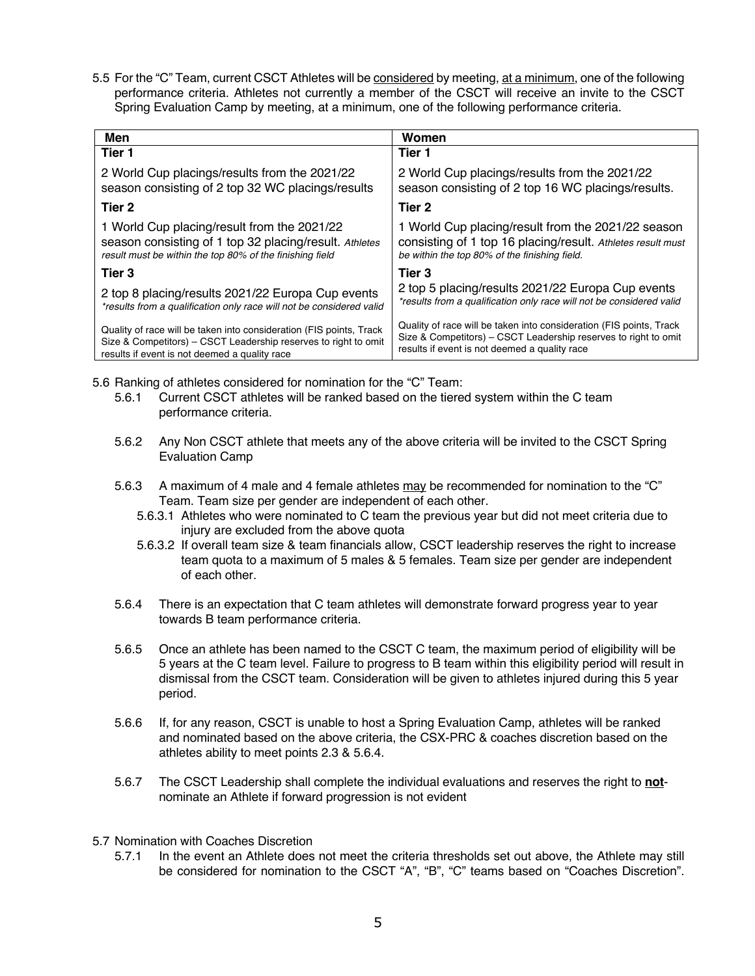5.5 For the "C" Team, current CSCT Athletes will be considered by meeting, at a minimum, one of the following performance criteria. Athletes not currently a member of the CSCT will receive an invite to the CSCT Spring Evaluation Camp by meeting, at a minimum, one of the following performance criteria.

| Men                                                                  | Women                                                                |
|----------------------------------------------------------------------|----------------------------------------------------------------------|
| Tier 1                                                               | Tier 1                                                               |
| 2 World Cup placings/results from the 2021/22                        | 2 World Cup placings/results from the 2021/22                        |
| season consisting of 2 top 32 WC placings/results                    | season consisting of 2 top 16 WC placings/results.                   |
| Tier 2                                                               | Tier 2                                                               |
| 1 World Cup placing/result from the 2021/22                          | 1 World Cup placing/result from the 2021/22 season                   |
| season consisting of 1 top 32 placing/result. Athletes               | consisting of 1 top 16 placing/result. Athletes result must          |
| result must be within the top 80% of the finishing field             | be within the top 80% of the finishing field.                        |
| Tier 3                                                               | Tier 3                                                               |
| 2 top 8 placing/results 2021/22 Europa Cup events                    | 2 top 5 placing/results 2021/22 Europa Cup events                    |
| *results from a qualification only race will not be considered valid | *results from a qualification only race will not be considered valid |
| Quality of race will be taken into consideration (FIS points, Track  | Quality of race will be taken into consideration (FIS points, Track  |
| Size & Competitors) – CSCT Leadership reserves to right to omit      | Size & Competitors) – CSCT Leadership reserves to right to omit      |
| results if event is not deemed a quality race                        | results if event is not deemed a quality race                        |

5.6 Ranking of athletes considered for nomination for the "C" Team:

- 5.6.1 Current CSCT athletes will be ranked based on the tiered system within the C team performance criteria.
- 5.6.2 Any Non CSCT athlete that meets any of the above criteria will be invited to the CSCT Spring Evaluation Camp
- 5.6.3 A maximum of 4 male and 4 female athletes may be recommended for nomination to the "C" Team. Team size per gender are independent of each other.
	- 5.6.3.1 Athletes who were nominated to C team the previous year but did not meet criteria due to injury are excluded from the above quota
	- 5.6.3.2 If overall team size & team financials allow, CSCT leadership reserves the right to increase team quota to a maximum of 5 males & 5 females. Team size per gender are independent of each other.
- 5.6.4 There is an expectation that C team athletes will demonstrate forward progress year to year towards B team performance criteria.
- 5.6.5 Once an athlete has been named to the CSCT C team, the maximum period of eligibility will be 5 years at the C team level. Failure to progress to B team within this eligibility period will result in dismissal from the CSCT team. Consideration will be given to athletes injured during this 5 year period.
- 5.6.6 If, for any reason, CSCT is unable to host a Spring Evaluation Camp, athletes will be ranked and nominated based on the above criteria, the CSX-PRC & coaches discretion based on the athletes ability to meet points 2.3 & 5.6.4.
- 5.6.7 The CSCT Leadership shall complete the individual evaluations and reserves the right to **not**nominate an Athlete if forward progression is not evident
- 5.7 Nomination with Coaches Discretion
	- 5.7.1 In the event an Athlete does not meet the criteria thresholds set out above, the Athlete may still be considered for nomination to the CSCT "A", "B", "C" teams based on "Coaches Discretion".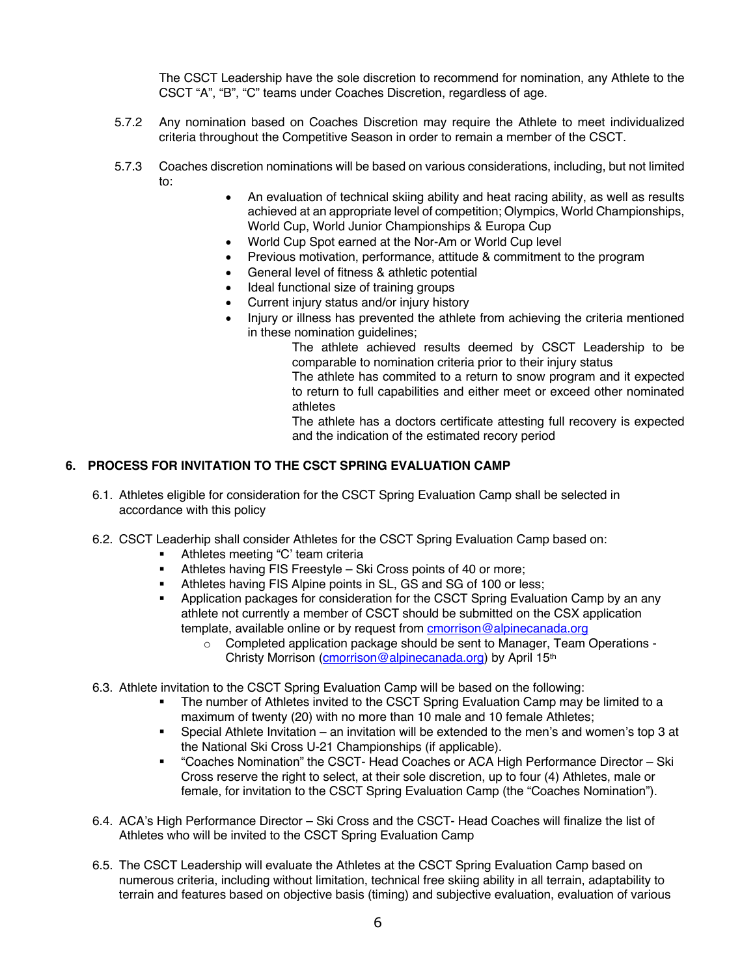The CSCT Leadership have the sole discretion to recommend for nomination, any Athlete to the CSCT "A", "B", "C" teams under Coaches Discretion, regardless of age.

- 5.7.2 Any nomination based on Coaches Discretion may require the Athlete to meet individualized criteria throughout the Competitive Season in order to remain a member of the CSCT.
- 5.7.3 Coaches discretion nominations will be based on various considerations, including, but not limited to:
	- An evaluation of technical skiing ability and heat racing ability, as well as results achieved at an appropriate level of competition; Olympics, World Championships, World Cup, World Junior Championships & Europa Cup
	- World Cup Spot earned at the Nor-Am or World Cup level
	- Previous motivation, performance, attitude & commitment to the program
	- General level of fitness & athletic potential
	- Ideal functional size of training groups
	- Current injury status and/or injury history
	- Injury or illness has prevented the athlete from achieving the criteria mentioned in these nomination guidelines;

The athlete achieved results deemed by CSCT Leadership to be comparable to nomination criteria prior to their injury status

The athlete has commited to a return to snow program and it expected to return to full capabilities and either meet or exceed other nominated athletes

The athlete has a doctors certificate attesting full recovery is expected and the indication of the estimated recory period

#### **6. PROCESS FOR INVITATION TO THE CSCT SPRING EVALUATION CAMP**

- 6.1. Athletes eligible for consideration for the CSCT Spring Evaluation Camp shall be selected in accordance with this policy
- 6.2. CSCT Leaderhip shall consider Athletes for the CSCT Spring Evaluation Camp based on:
	- Athletes meeting "C' team criteria
	- Athletes having FIS Freestyle Ski Cross points of 40 or more;
	- **EXECUTE:** Athletes having FIS Alpine points in SL, GS and SG of 100 or less;
	- Application packages for consideration for the CSCT Spring Evaluation Camp by an any athlete not currently a member of CSCT should be submitted on the CSX application template, available online or by request from **cmorrison@alpinecanada.org** 
		- o Completed application package should be sent to Manager, Team Operations Christy Morrison (cmorrison@alpinecanada.org) by April 15th
- 6.3. Athlete invitation to the CSCT Spring Evaluation Camp will be based on the following:
	- The number of Athletes invited to the CSCT Spring Evaluation Camp may be limited to a maximum of twenty (20) with no more than 10 male and 10 female Athletes;
	- § Special Athlete Invitation an invitation will be extended to the men's and women's top 3 at the National Ski Cross U-21 Championships (if applicable).
	- § "Coaches Nomination" the CSCT- Head Coaches or ACA High Performance Director Ski Cross reserve the right to select, at their sole discretion, up to four (4) Athletes, male or female, for invitation to the CSCT Spring Evaluation Camp (the "Coaches Nomination").
- 6.4. ACA's High Performance Director Ski Cross and the CSCT- Head Coaches will finalize the list of Athletes who will be invited to the CSCT Spring Evaluation Camp
- 6.5. The CSCT Leadership will evaluate the Athletes at the CSCT Spring Evaluation Camp based on numerous criteria, including without limitation, technical free skiing ability in all terrain, adaptability to terrain and features based on objective basis (timing) and subjective evaluation, evaluation of various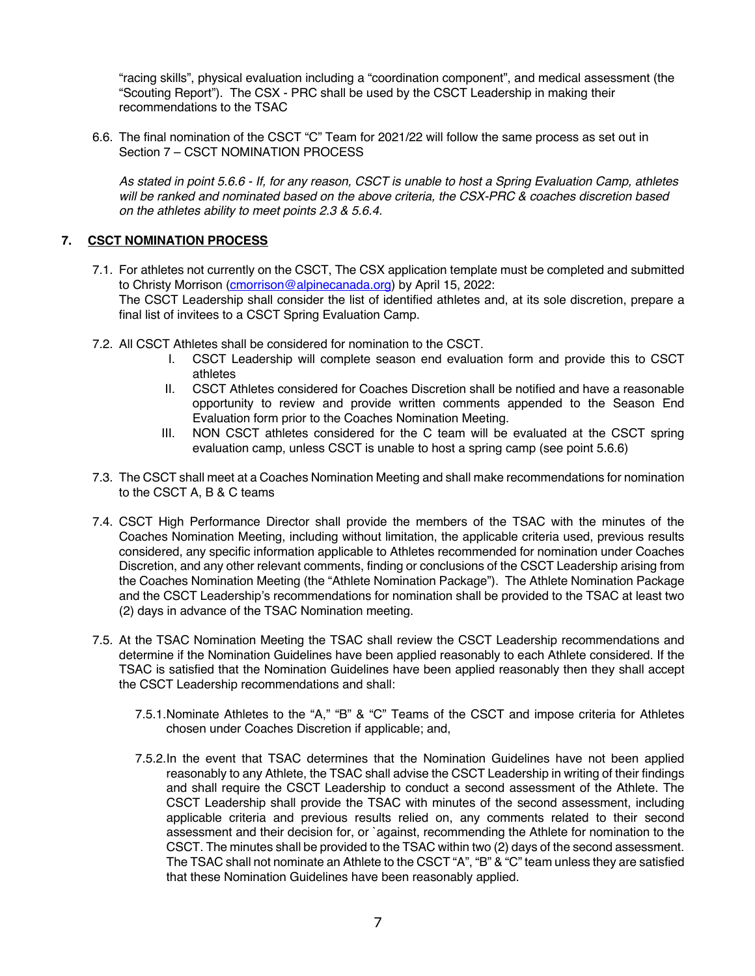"racing skills", physical evaluation including a "coordination component", and medical assessment (the "Scouting Report"). The CSX - PRC shall be used by the CSCT Leadership in making their recommendations to the TSAC

6.6. The final nomination of the CSCT "C" Team for 2021/22 will follow the same process as set out in Section 7 – CSCT NOMINATION PROCESS

*As stated in point 5.6.6 - If, for any reason, CSCT is unable to host a Spring Evaluation Camp, athletes will be ranked and nominated based on the above criteria, the CSX-PRC & coaches discretion based on the athletes ability to meet points 2.3 & 5.6.4.* 

## **7. CSCT NOMINATION PROCESS**

- 7.1. For athletes not currently on the CSCT, The CSX application template must be completed and submitted to Christy Morrison (*cmorrison@alpinecanada.org*) by April 15, 2022: The CSCT Leadership shall consider the list of identified athletes and, at its sole discretion, prepare a final list of invitees to a CSCT Spring Evaluation Camp.
- 7.2. All CSCT Athletes shall be considered for nomination to the CSCT.
	- I. CSCT Leadership will complete season end evaluation form and provide this to CSCT athletes
	- II. CSCT Athletes considered for Coaches Discretion shall be notified and have a reasonable opportunity to review and provide written comments appended to the Season End Evaluation form prior to the Coaches Nomination Meeting.
	- III. NON CSCT athletes considered for the C team will be evaluated at the CSCT spring evaluation camp, unless CSCT is unable to host a spring camp (see point 5.6.6)
- 7.3. The CSCT shall meet at a Coaches Nomination Meeting and shall make recommendations for nomination to the CSCT A, B & C teams
- 7.4. CSCT High Performance Director shall provide the members of the TSAC with the minutes of the Coaches Nomination Meeting, including without limitation, the applicable criteria used, previous results considered, any specific information applicable to Athletes recommended for nomination under Coaches Discretion, and any other relevant comments, finding or conclusions of the CSCT Leadership arising from the Coaches Nomination Meeting (the "Athlete Nomination Package"). The Athlete Nomination Package and the CSCT Leadership's recommendations for nomination shall be provided to the TSAC at least two (2) days in advance of the TSAC Nomination meeting.
- 7.5. At the TSAC Nomination Meeting the TSAC shall review the CSCT Leadership recommendations and determine if the Nomination Guidelines have been applied reasonably to each Athlete considered. If the TSAC is satisfied that the Nomination Guidelines have been applied reasonably then they shall accept the CSCT Leadership recommendations and shall:
	- 7.5.1.Nominate Athletes to the "A," "B" & "C" Teams of the CSCT and impose criteria for Athletes chosen under Coaches Discretion if applicable; and,
	- 7.5.2.In the event that TSAC determines that the Nomination Guidelines have not been applied reasonably to any Athlete, the TSAC shall advise the CSCT Leadership in writing of their findings and shall require the CSCT Leadership to conduct a second assessment of the Athlete. The CSCT Leadership shall provide the TSAC with minutes of the second assessment, including applicable criteria and previous results relied on, any comments related to their second assessment and their decision for, or `against, recommending the Athlete for nomination to the CSCT. The minutes shall be provided to the TSAC within two (2) days of the second assessment. The TSAC shall not nominate an Athlete to the CSCT "A", "B" & "C" team unless they are satisfied that these Nomination Guidelines have been reasonably applied.